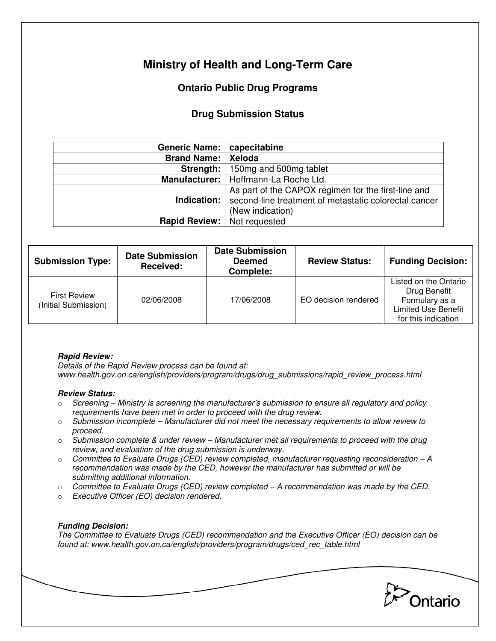# **Ministry of Health and Long-Term Care**

## **Ontario Public Drug Programs**

### **Drug Submission Status**

| Generic Name:                      | capecitabine                                                                                                                                   |  |  |
|------------------------------------|------------------------------------------------------------------------------------------------------------------------------------------------|--|--|
| <b>Brand Name:</b>                 | Xeloda                                                                                                                                         |  |  |
| Strength:                          | 150mg and 500mg tablet                                                                                                                         |  |  |
|                                    | Manufacturer:   Hoffmann-La Roche Ltd.                                                                                                         |  |  |
|                                    | As part of the CAPOX regimen for the first-line and<br>Indication:   second-line treatment of metastatic colorectal cancer<br>(New indication) |  |  |
| <b>Rapid Review:</b> Not requested |                                                                                                                                                |  |  |

| <b>Submission Type:</b>                     | <b>Date Submission</b><br>Received: | <b>Date Submission</b><br><b>Deemed</b><br>Complete: | <b>Review Status:</b> | <b>Funding Decision:</b>                                                                                     |
|---------------------------------------------|-------------------------------------|------------------------------------------------------|-----------------------|--------------------------------------------------------------------------------------------------------------|
| <b>First Review</b><br>(Initial Submission) | 02/06/2008                          | 17/06/2008                                           | EO decision rendered  | Listed on the Ontario<br>Drug Benefit<br>Formulary as a<br><b>Limited Use Benefit</b><br>for this indication |

#### **Rapid Review:**

Details of the Rapid Review process can be found at: www.health.gov.on.ca/english/providers/program/drugs/drug\_submissions/rapid\_review\_process.html

#### **Review Status:**

- $\circ$  Screening Ministry is screening the manufacturer's submission to ensure all regulatory and policy requirements have been met in order to proceed with the drug review.
- $\circ$  Submission incomplete Manufacturer did not meet the necessary requirements to allow review to proceed.
- $\circ$  Submission complete & under review Manufacturer met all requirements to proceed with the drug review, and evaluation of the drug submission is underway.
- $\circ$  Committee to Evaluate Drugs (CED) review completed, manufacturer requesting reconsideration A recommendation was made by the CED, however the manufacturer has submitted or will be submitting additional information.
- $\circ$  Committee to Evaluate Drugs (CED) review completed  $-A$  recommendation was made by the CED.
- o Executive Officer (EO) decision rendered.

### **Funding Decision:**

The Committee to Evaluate Drugs (CED) recommendation and the Executive Officer (EO) decision can be found at: www.health.gov.on.ca/english/providers/program/drugs/ced\_rec\_table.html